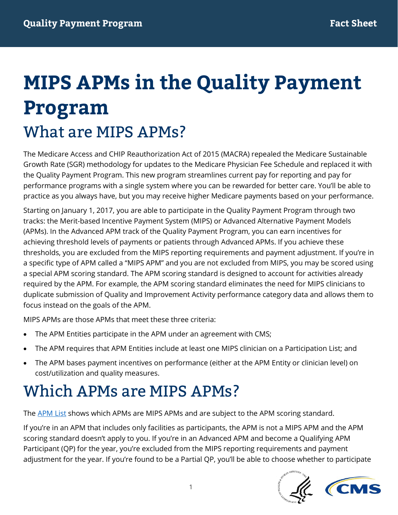# **MIPS APMs in the Quality Payment Program**  What are MIPS APMs?

The Medicare Access and CHIP Reauthorization Act of 2015 (MACRA) repealed the Medicare Sustainable Growth Rate (SGR) methodology for updates to the Medicare Physician Fee Schedule and replaced it with the Quality Payment Program. This new program streamlines current pay for reporting and pay for performance programs with a single system where you can be rewarded for better care. You'll be able to practice as you always have, but you may receive higher Medicare payments based on your performance.

Starting on January 1, 2017, you are able to participate in the Quality Payment Program through two tracks: the Merit-based Incentive Payment System (MIPS) or Advanced Alternative Payment Models (APMs). In the Advanced APM track of the Quality Payment Program, you can earn incentives for achieving threshold levels of payments or patients through Advanced APMs. If you achieve these thresholds, you are excluded from the MIPS reporting requirements and payment adjustment. If you're in a specific type of APM called a "MIPS APM" and you are not excluded from MIPS, you may be scored using a special APM scoring standard. The APM scoring standard is designed to account for activities already required by the APM. For example, the APM scoring standard eliminates the need for MIPS clinicians to duplicate submission of Quality and Improvement Activity performance category data and allows them to focus instead on the goals of the APM.

MIPS APMs are those APMs that meet these three criteria:

- The APM Entities participate in the APM under an agreement with CMS;
- The APM requires that APM Entities include at least one MIPS clinician on a Participation List; and
- The APM bases payment incentives on performance (either at the APM Entity or clinician level) on cost/utilization and quality measures.

#### Which APMs are MIPS APMs?

The **APM List** shows which APMs are MIPS APMs and are subject to the APM scoring standard.

If you're in an APM that includes only facilities as participants, the APM is not a MIPS APM and the APM scoring standard doesn't apply to you. If you're in an Advanced APM and become a Qualifying APM Participant (QP) for the year, you're excluded from the MIPS reporting requirements and payment adjustment for the year. If you're found to be a Partial QP, you'll be able to choose whether to participate



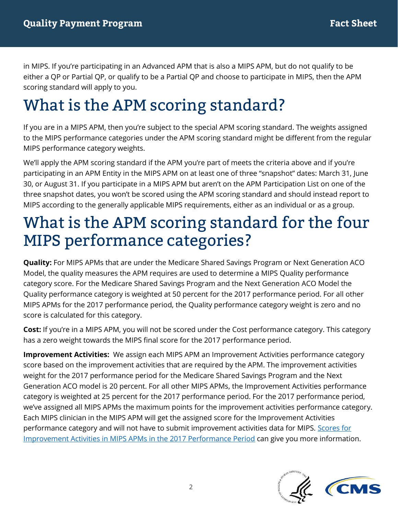in MIPS. If you're participating in an Advanced APM that is also a MIPS APM, but do not qualify to be either a QP or Partial QP, or qualify to be a Partial QP and choose to participate in MIPS, then the APM scoring standard will apply to you.

## What is the APM scoring standard?

If you are in a MIPS APM, then you're subject to the special APM scoring standard. The weights assigned to the MIPS performance categories under the APM scoring standard might be different from the regular MIPS performance category weights.

We'll apply the APM scoring standard if the APM you're part of meets the criteria above and if you're participating in an APM Entity in the MIPS APM on at least one of three "snapshot" dates: March 31, June 30, or August 31. If you participate in a MIPS APM but aren't on the APM Participation List on one of the three snapshot dates, you won't be scored using the APM scoring standard and should instead report to MIPS according to the generally applicable MIPS requirements, either as an individual or as a group.

#### What is the APM scoring standard for the four MIPS performance categories?

**Quality:** For MIPS APMs that are under the Medicare Shared Savings Program or Next Generation ACO Model, the quality measures the APM requires are used to determine a MIPS Quality performance category score. For the Medicare Shared Savings Program and the Next Generation ACO Model the Quality performance category is weighted at 50 percent for the 2017 performance period. For all other MIPS APMs for the 2017 performance period, the Quality performance category weight is zero and no score is calculated for this category.

**Cost:** If you're in a MIPS APM, you will not be scored under the Cost performance category. This category has a zero weight towards the MIPS final score for the 2017 performance period.

**Improvement Activities:** We assign each MIPS APM an Improvement Activities performance category score based on the improvement activities that are required by the APM. The improvement activities weight for the 2017 performance period for the Medicare Shared Savings Program and the Next Generation ACO model is 20 percent. For all other MIPS APMs, the Improvement Activities performance category is weighted at 25 percent for the 2017 performance period. For the 2017 performance period, we've assigned all MIPS APMs the maximum points for the improvement activities performance category. Each MIPS clinician in the MIPS APM will get the assigned score for the Improvement Activities performance category and will not have to submit improvement activities data for MIPS. Scores for [Improvement Activities in MIPS APMs in the 2017 Performance Period](https://qpp.cms.gov/docs/QPP_APMs_and_Improvement_Activities.pdf) can give you more information.

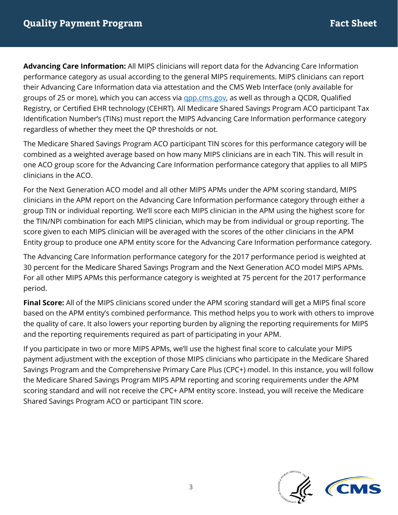**Advancing Care Information:** All MIPS clinicians will report data for the Advancing Care Information performance category as usual according to the general MIPS requirements. MIPS clinicians can report their Advancing Care Information data via attestation and the CMS Web Interface (only available for groups of 25 or more), which you can access via [qpp.cms.gov,](https://qpp.cms.gov/) as well as through a QCDR, Qualified Registry, or Certified EHR technology (CEHRT). All Medicare Shared Savings Program ACO participant Tax Identification Number's (TINs) must report the MIPS Advancing Care Information performance category regardless of whether they meet the QP thresholds or not.

The Medicare Shared Savings Program ACO participant TIN scores for this performance category will be combined as a weighted average based on how many MIPS clinicians are in each TIN. This will result in one ACO group score for the Advancing Care Information performance category that applies to all MIPS clinicians in the ACO.

For the Next Generation ACO model and all other MIPS APMs under the APM scoring standard, MIPS clinicians in the APM report on the Advancing Care Information performance category through either a group TIN or individual reporting. We'll score each MIPS clinician in the APM using the highest score for the TIN/NPI combination for each MIPS clinician, which may be from individual or group reporting. The score given to each MIPS clinician will be averaged with the scores of the other clinicians in the APM Entity group to produce one APM entity score for the Advancing Care Information performance category.

The Advancing Care Information performance category for the 2017 performance period is weighted at 30 percent for the Medicare Shared Savings Program and the Next Generation ACO model MIPS APMs. For all other MIPS APMs this performance category is weighted at 75 percent for the 2017 performance period.

**Final Score:** All of the MIPS clinicians scored under the APM scoring standard will get a MIPS final score based on the APM entity's combined performance. This method helps you to work with others to improve the quality of care. It also lowers your reporting burden by aligning the reporting requirements for MIPS and the reporting requirements required as part of participating in your APM.

If you participate in two or more MIPS APMs, we'll use the highest final score to calculate your MIPS payment adjustment with the exception of those MIPS clinicians who participate in the Medicare Shared Savings Program and the Comprehensive Primary Care Plus (CPC+) model. In this instance, you will follow the Medicare Shared Savings Program MIPS APM reporting and scoring requirements under the APM scoring standard and will not receive the CPC+ APM entity score. Instead, you will receive the Medicare Shared Savings Program ACO or participant TIN score.

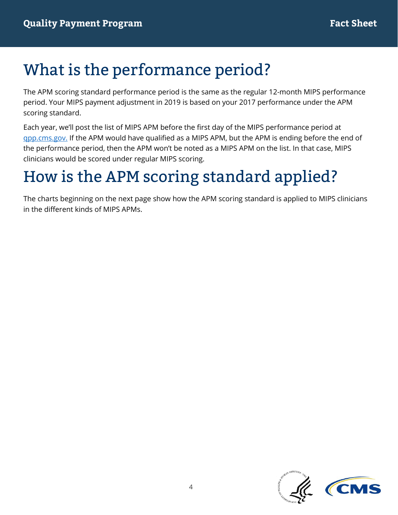### What is the performance period?

The APM scoring standard performance period is the same as the regular 12-month MIPS performance period. Your MIPS payment adjustment in 2019 is based on your 2017 performance under the APM scoring standard.

Each year, we'll post the list of MIPS APM before the first day of the MIPS performance period at [qpp.cms.gov.](https://qpp.cms.gov/) If the APM would have qualified as a MIPS APM, but the APM is ending before the end of the performance period, then the APM won't be noted as a MIPS APM on the list. In that case, MIPS clinicians would be scored under regular MIPS scoring.

### How is the APM scoring standard applied?

The charts beginning on the next page show how the APM scoring standard is applied to MIPS clinicians in the different kinds of MIPS APMs.

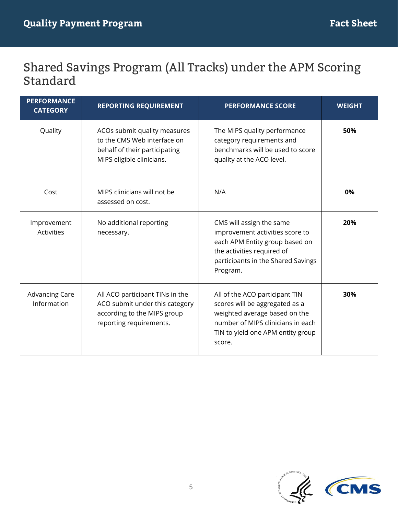#### Shared Savings Program (All Tracks) under the APM Scoring **Standard**

| <b>PERFORMANCE</b><br><b>CATEGORY</b> | <b>REPORTING REQUIREMENT</b>                                                                                                | <b>PERFORMANCE SCORE</b>                                                                                                                                                              | <b>WEIGHT</b> |
|---------------------------------------|-----------------------------------------------------------------------------------------------------------------------------|---------------------------------------------------------------------------------------------------------------------------------------------------------------------------------------|---------------|
| Quality                               | ACOs submit quality measures<br>to the CMS Web interface on<br>behalf of their participating<br>MIPS eligible clinicians.   | The MIPS quality performance<br>category requirements and<br>benchmarks will be used to score<br>quality at the ACO level.                                                            | 50%           |
| Cost                                  | MIPS clinicians will not be<br>assessed on cost.                                                                            | N/A                                                                                                                                                                                   | 0%            |
| Improvement<br>Activities             | No additional reporting<br>necessary.                                                                                       | CMS will assign the same<br>improvement activities score to<br>each APM Entity group based on<br>the activities required of<br>participants in the Shared Savings<br>Program.         | 20%           |
| <b>Advancing Care</b><br>Information  | All ACO participant TINs in the<br>ACO submit under this category<br>according to the MIPS group<br>reporting requirements. | All of the ACO participant TIN<br>scores will be aggregated as a<br>weighted average based on the<br>number of MIPS clinicians in each<br>TIN to yield one APM entity group<br>score. | 30%           |

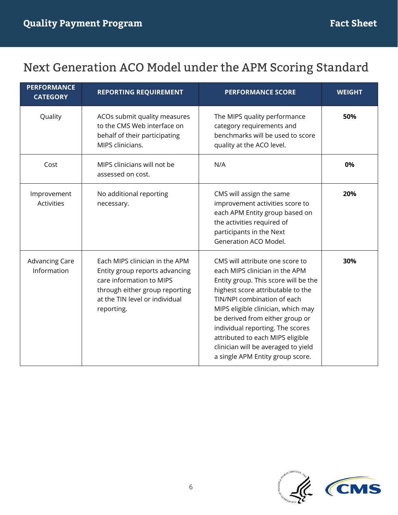#### Next Generation ACO Model under the APM Scoring Standard

| <b>PERFORMANCE</b><br><b>CATEGORY</b> | <b>REPORTING REQUIREMENT</b>                                                                                                                                                   | <b>PERFORMANCE SCORE</b>                                                                                                                                                                                                                                                                                                                                                                                  | <b>WEIGHT</b> |
|---------------------------------------|--------------------------------------------------------------------------------------------------------------------------------------------------------------------------------|-----------------------------------------------------------------------------------------------------------------------------------------------------------------------------------------------------------------------------------------------------------------------------------------------------------------------------------------------------------------------------------------------------------|---------------|
| Quality                               | ACOs submit quality measures<br>to the CMS Web interface on<br>behalf of their participating<br>MIPS clinicians.                                                               | The MIPS quality performance<br>category requirements and<br>benchmarks will be used to score<br>quality at the ACO level.                                                                                                                                                                                                                                                                                | 50%           |
| Cost                                  | MIPS clinicians will not be<br>assessed on cost.                                                                                                                               | N/A                                                                                                                                                                                                                                                                                                                                                                                                       | 0%            |
| Improvement<br><b>Activities</b>      | No additional reporting<br>necessary.                                                                                                                                          | CMS will assign the same<br>improvement activities score to<br>each APM Entity group based on<br>the activities required of<br>participants in the Next<br>Generation ACO Model.                                                                                                                                                                                                                          | 20%           |
| <b>Advancing Care</b><br>Information  | Each MIPS clinician in the APM<br>Entity group reports advancing<br>care information to MIPS<br>through either group reporting<br>at the TIN level or individual<br>reporting. | CMS will attribute one score to<br>each MIPS clinician in the APM<br>Entity group. This score will be the<br>highest score attributable to the<br>TIN/NPI combination of each<br>MIPS eligible clinician, which may<br>be derived from either group or<br>individual reporting. The scores<br>attributed to each MIPS eligible<br>clinician will be averaged to yield<br>a single APM Entity group score. | 30%           |